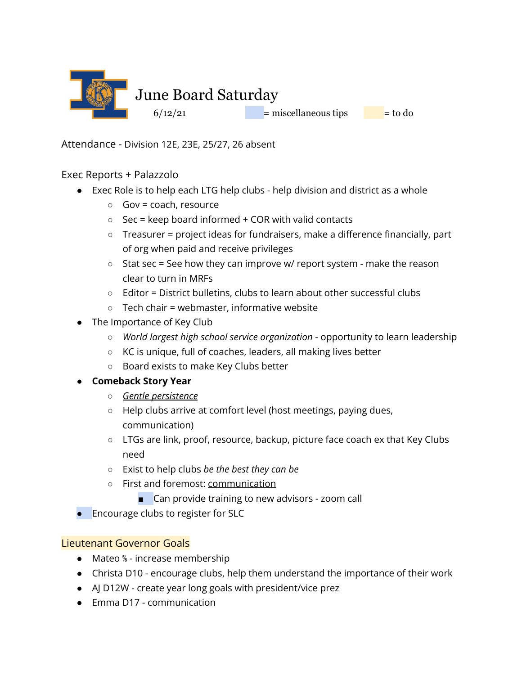

Attendance - Division 12E, 23E, 25/27, 26 absent

## Exec Reports + Palazzolo

- Exec Role is to help each LTG help clubs help division and district as a whole
	- $\circ$  Gov = coach, resource
	- $\circ$  Sec = keep board informed + COR with valid contacts
	- Treasurer = project ideas for fundraisers, make a difference financially, part of org when paid and receive privileges
	- $\circ$  Stat sec = See how they can improve w/ report system make the reason clear to turn in MRFs
	- Editor = District bulletins, clubs to learn about other successful clubs
	- $\circ$  Tech chair = webmaster, informative website
- The Importance of Key Club
	- *World largest high school service organization* opportunity to learn leadership
	- KC is unique, full of coaches, leaders, all making lives better
	- Board exists to make Key Clubs better

#### **● Comeback Story Year**

- *○ Gentle persistence*
- Help clubs arrive at comfort level (host meetings, paying dues, communication)
- LTGs are link, proof, resource, backup, picture face coach ex that Key Clubs need
- Exist to help clubs *be the best they can be*
- First and foremost: communication
	- Can provide training to new advisors zoom call
- Encourage clubs to register for SLC

## Lieutenant Governor Goals

- Mateo <sup>%</sup> increase membership
- Christa D10 encourage clubs, help them understand the importance of their work
- AJ D12W create year long goals with president/vice prez
- Emma D17 communication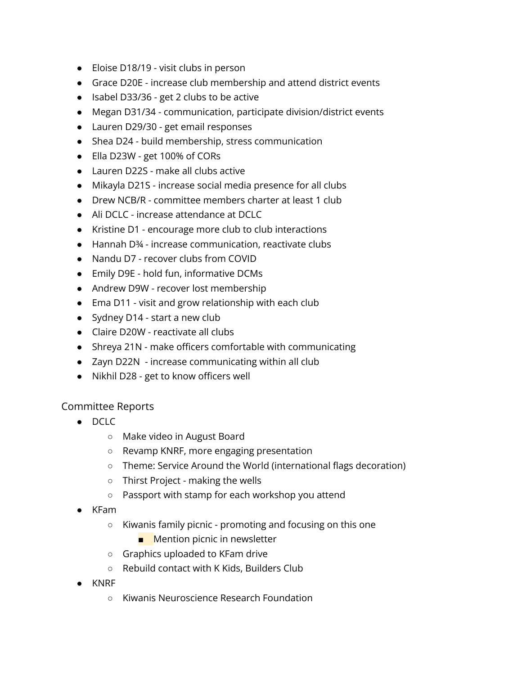- Eloise D18/19 visit clubs in person
- Grace D20E increase club membership and attend district events
- Isabel D33/36 get 2 clubs to be active
- Megan D31/34 communication, participate division/district events
- Lauren D29/30 get email responses
- Shea D24 build membership, stress communication
- Ella D23W get 100% of CORs
- Lauren D22S make all clubs active
- Mikayla D21S increase social media presence for all clubs
- Drew NCB/R committee members charter at least 1 club
- Ali DCLC increase attendance at DCLC
- Kristine D1 encourage more club to club interactions
- Hannah D¾ increase communication, reactivate clubs
- Nandu D7 recover clubs from COVID
- Emily D9E hold fun, informative DCMs
- Andrew D9W recover lost membership
- Ema D11 visit and grow relationship with each club
- Sydney D14 start a new club
- Claire D20W reactivate all clubs
- Shreya 21N make officers comfortable with communicating
- Zayn D22N increase communicating within all club
- Nikhil D28 get to know officers well

#### Committee Reports

- DCLC
	- Make video in August Board
	- Revamp KNRF, more engaging presentation
	- Theme: Service Around the World (international flags decoration)
	- Thirst Project making the wells
	- Passport with stamp for each workshop you attend
- KFam
	- Kiwanis family picnic promoting and focusing on this one
		- Mention picnic in newsletter
	- Graphics uploaded to KFam drive
	- Rebuild contact with K Kids, Builders Club
- KNRF
	- Kiwanis Neuroscience Research Foundation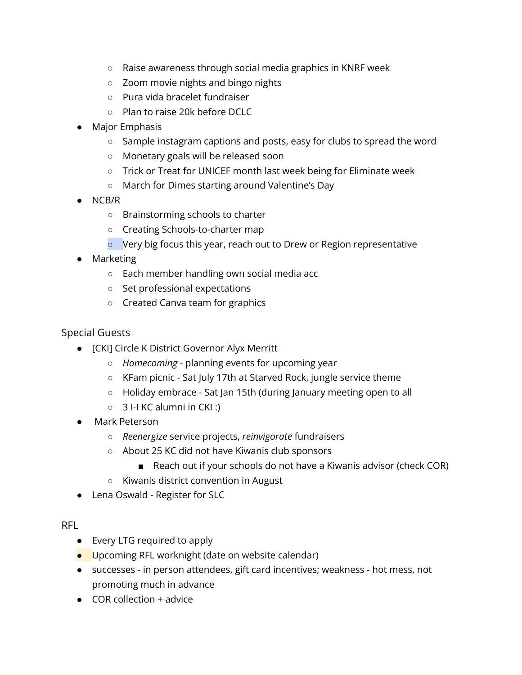- Raise awareness through social media graphics in KNRF week
- Zoom movie nights and bingo nights
- Pura vida bracelet fundraiser
- Plan to raise 20k before DCLC
- Major Emphasis
	- Sample instagram captions and posts, easy for clubs to spread the word
	- Monetary goals will be released soon
	- Trick or Treat for UNICEF month last week being for Eliminate week
	- March for Dimes starting around Valentine's Day
- NCB/R
	- Brainstorming schools to charter
	- Creating Schools-to-charter map
	- Very big focus this year, reach out to Drew or Region representative
- Marketing
	- Each member handling own social media acc
	- Set professional expectations
	- Created Canva team for graphics

### Special Guests

- [CKI] Circle K District Governor Alyx Merritt
	- *Homecoming* planning events for upcoming year
	- KFam picnic Sat July 17th at Starved Rock, jungle service theme
	- Holiday embrace Sat Jan 15th (during January meeting open to all
	- $\circ$  3 I-I KC alumni in CKI :)
- Mark Peterson
	- *Reenergize* service projects, *reinvigorate* fundraisers
	- About 25 KC did not have Kiwanis club sponsors
		- Reach out if your schools do not have a Kiwanis advisor (check COR)
	- Kiwanis district convention in August
- Lena Oswald Register for SLC

#### RFL

- Every LTG required to apply
- Upcoming RFL worknight (date on website calendar)
- successes in person attendees, gift card incentives; weakness hot mess, not promoting much in advance
- $\bullet$  COR collection  $+$  advice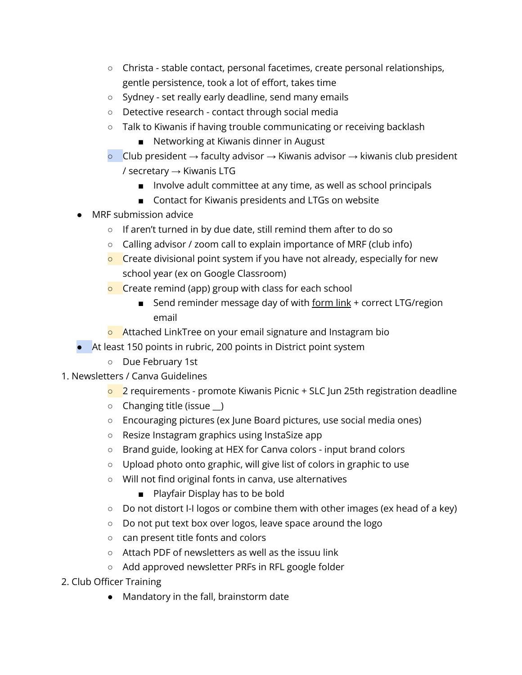- Christa stable contact, personal facetimes, create personal relationships, gentle persistence, took a lot of effort, takes time
- Sydney set really early deadline, send many emails
- Detective research contact through social media
- Talk to Kiwanis if having trouble communicating or receiving backlash
	- Networking at Kiwanis dinner in August
- $\circ$  Club president  $\rightarrow$  faculty advisor  $\rightarrow$  Kiwanis advisor  $\rightarrow$  kiwanis club president / secretary  $\rightarrow$  Kiwanis LTG
	- Involve adult committee at any time, as well as school principals
	- Contact for Kiwanis presidents and LTGs on website
- MRF submission advice
	- If aren't turned in by due date, still remind them after to do so
	- Calling advisor / zoom call to explain importance of MRF (club info)
	- **O** Create divisional point system if you have not already, especially for new school year (ex on Google Classroom)
	- **C** Create remind (app) group with class for each school
		- Send reminder message day of with form link + correct LTG/region email
	- o Attached LinkTree on your email signature and Instagram bio
- At least 150 points in rubric, 200 points in District point system
	- Due February 1st
- 1. Newsletters / Canva Guidelines
	- $\overline{\circ}$  2 requirements promote Kiwanis Picnic + SLC Jun 25th registration deadline
	- Changing title (issue \_\_)
	- Encouraging pictures (ex June Board pictures, use social media ones)
	- Resize Instagram graphics using InstaSize app
	- Brand guide, looking at HEX for Canva colors input brand colors
	- Upload photo onto graphic, will give list of colors in graphic to use
	- Will not find original fonts in canva, use alternatives
		- Playfair Display has to be bold
	- Do not distort I-I logos or combine them with other images (ex head of a key)
	- Do not put text box over logos, leave space around the logo
	- can present title fonts and colors
	- Attach PDF of newsletters as well as the issuu link
	- Add approved newsletter PRFs in RFL google folder
- 2. Club Officer Training
	- Mandatory in the fall, brainstorm date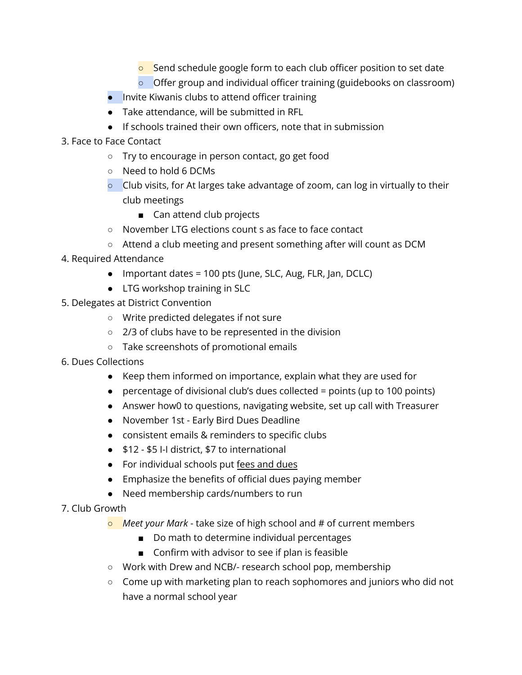- Send schedule google form to each club officer position to set date
- Offer group and individual officer training (guidebooks on classroom)
- Invite Kiwanis clubs to attend officer training
- Take attendance, will be submitted in RFL
- If schools trained their own officers, note that in submission
- 3. Face to Face Contact
	- Try to encourage in person contact, go get food
	- Need to hold 6 DCMs
	- $\circ$  Club visits, for At larges take advantage of zoom, can log in virtually to their club meetings
		- Can attend club projects
	- November LTG elections count s as face to face contact
	- Attend a club meeting and present something after will count as DCM
- 4. Required Attendance
	- Important dates = 100 pts (June, SLC, Aug, FLR, Jan, DCLC)
	- LTG workshop training in SLC
- 5. Delegates at District Convention
	- Write predicted delegates if not sure
	- 2/3 of clubs have to be represented in the division
	- Take screenshots of promotional emails
- 6. Dues Collections
	- Keep them informed on importance, explain what they are used for
	- $\bullet$  percentage of divisional club's dues collected = points (up to 100 points)
	- Answer how0 to questions, navigating website, set up call with Treasurer
	- November 1st Early Bird Dues Deadline
	- consistent emails & reminders to specific clubs
	- \$12 \$5 I-I district, \$7 to international
	- For individual schools put fees and dues
	- Emphasize the benefits of official dues paying member
	- Need membership cards/numbers to run
- 7. Club Growth
	- *Meet your Mark* take size of high school and # of current members
		- Do math to determine individual percentages
		- Confirm with advisor to see if plan is feasible
	- Work with Drew and NCB/- research school pop, membership
	- Come up with marketing plan to reach sophomores and juniors who did not have a normal school year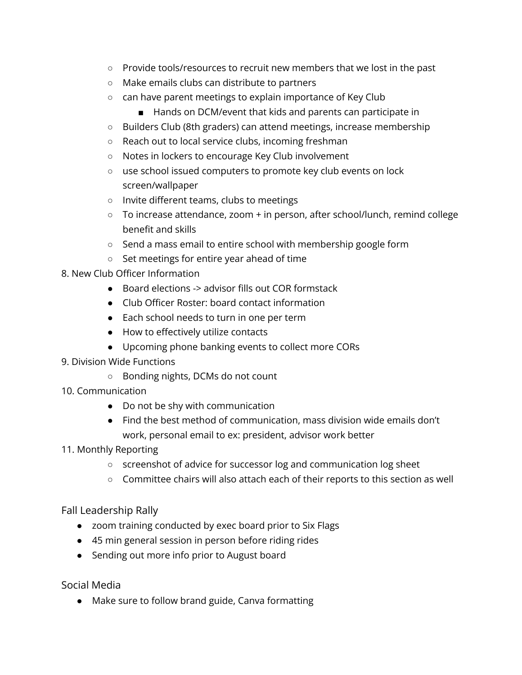- Provide tools/resources to recruit new members that we lost in the past
- Make emails clubs can distribute to partners
- can have parent meetings to explain importance of Key Club
	- Hands on DCM/event that kids and parents can participate in
- Builders Club (8th graders) can attend meetings, increase membership
- Reach out to local service clubs, incoming freshman
- Notes in lockers to encourage Key Club involvement
- use school issued computers to promote key club events on lock screen/wallpaper
- Invite different teams, clubs to meetings
- To increase attendance, zoom + in person, after school/lunch, remind college benefit and skills
- Send a mass email to entire school with membership google form
- Set meetings for entire year ahead of time
- 8. New Club Officer Information
	- Board elections -> advisor fills out COR formstack
	- Club Officer Roster: board contact information
	- Each school needs to turn in one per term
	- How to effectively utilize contacts
	- Upcoming phone banking events to collect more CORs
- 9. Division Wide Functions
	- Bonding nights, DCMs do not count
- 10. Communication
	- Do not be shy with communication
	- Find the best method of communication, mass division wide emails don't work, personal email to ex: president, advisor work better
- 11. Monthly Reporting
	- screenshot of advice for successor log and communication log sheet
	- Committee chairs will also attach each of their reports to this section as well

## Fall Leadership Rally

- zoom training conducted by exec board prior to Six Flags
- 45 min general session in person before riding rides
- Sending out more info prior to August board

Social Media

● Make sure to follow brand guide, Canva formatting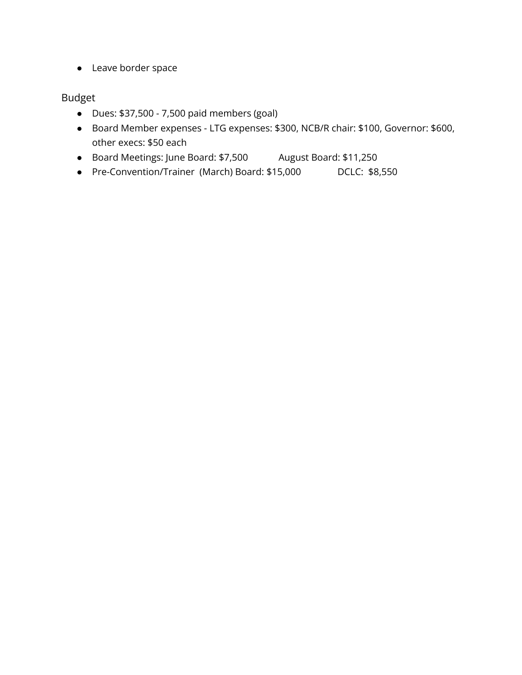● Leave border space

## Budget

- Dues: \$37,500 7,500 paid members (goal)
- Board Member expenses LTG expenses: \$300, NCB/R chair: \$100, Governor: \$600, other execs: \$50 each
- Board Meetings: June Board: \$7,500 August Board: \$11,250
- Pre-Convention/Trainer (March) Board: \$15,000 DCLC: \$8,550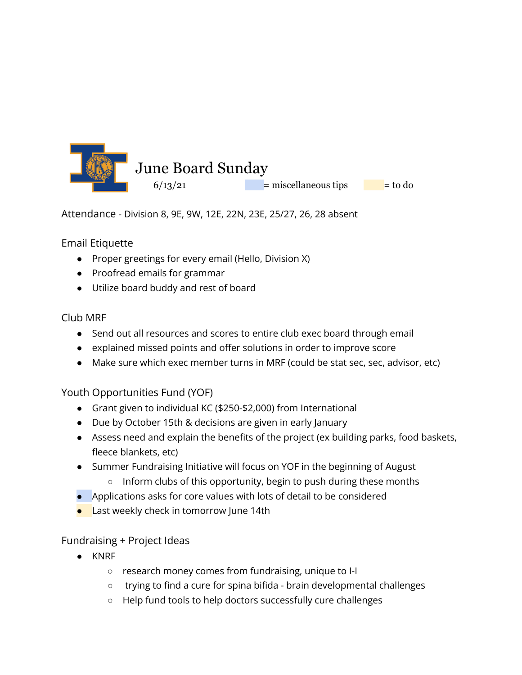

Attendance - Division 8, 9E, 9W, 12E, 22N, 23E, 25/27, 26, 28 absent

## Email Etiquette

- Proper greetings for every email (Hello, Division X)
- Proofread emails for grammar
- Utilize board buddy and rest of board

## Club MRF

- Send out all resources and scores to entire club exec board through email
- explained missed points and offer solutions in order to improve score
- Make sure which exec member turns in MRF (could be stat sec, sec, advisor, etc)

## Youth Opportunities Fund (YOF)

- Grant given to individual KC (\$250-\$2,000) from International
- Due by October 15th & decisions are given in early January
- Assess need and explain the benefits of the project (ex building parks, food baskets, fleece blankets, etc)
- Summer Fundraising Initiative will focus on YOF in the beginning of August
	- Inform clubs of this opportunity, begin to push during these months
- Applications asks for core values with lots of detail to be considered
- **•** Last weekly check in tomorrow June 14th

# Fundraising + Project Ideas

- KNRF
	- research money comes from fundraising, unique to I-I
	- trying to find a cure for spina bifida brain developmental challenges
	- Help fund tools to help doctors successfully cure challenges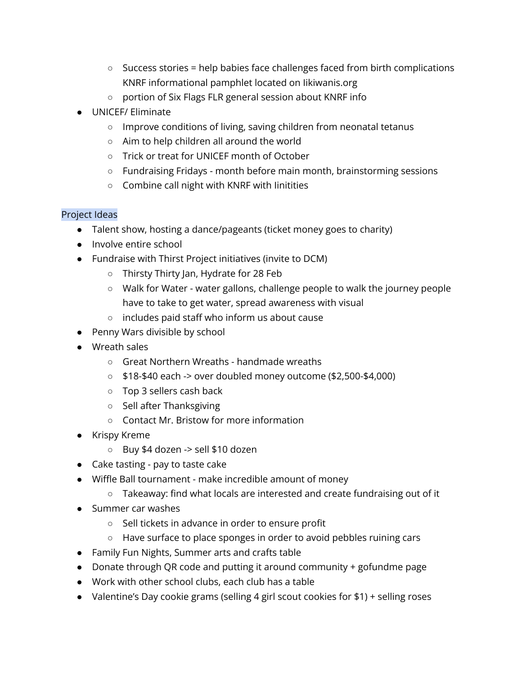- Success stories = help babies face challenges faced from birth complications KNRF informational pamphlet located on Iikiwanis.org
- portion of Six Flags FLR general session about KNRF info
- UNICEF/ Eliminate
	- Improve conditions of living, saving children from neonatal tetanus
	- Aim to help children all around the world
	- Trick or treat for UNICEF month of October
	- Fundraising Fridays month before main month, brainstorming sessions
	- Combine call night with KNRF with Iinitities

### Project Ideas

- Talent show, hosting a dance/pageants (ticket money goes to charity)
- Involve entire school
- Fundraise with Thirst Project initiatives (invite to DCM)
	- Thirsty Thirty Jan, Hydrate for 28 Feb
	- Walk for Water water gallons, challenge people to walk the journey people have to take to get water, spread awareness with visual
	- includes paid staff who inform us about cause
- Penny Wars divisible by school
- Wreath sales
	- Great Northern Wreaths handmade wreaths
	- $\circ$  \$18-\$40 each -> over doubled money outcome (\$2,500-\$4,000)
	- Top 3 sellers cash back
	- Sell after Thanksgiving
	- Contact Mr. Bristow for more information
- Krispy Kreme
	- Buy \$4 dozen -> sell \$10 dozen
- Cake tasting pay to taste cake
- Wiffle Ball tournament make incredible amount of money
	- Takeaway: find what locals are interested and create fundraising out of it
- Summer car washes
	- Sell tickets in advance in order to ensure profit
	- Have surface to place sponges in order to avoid pebbles ruining cars
- Family Fun Nights, Summer arts and crafts table
- Donate through QR code and putting it around community + gofundme page
- Work with other school clubs, each club has a table
- Valentine's Day cookie grams (selling 4 girl scout cookies for \$1) + selling roses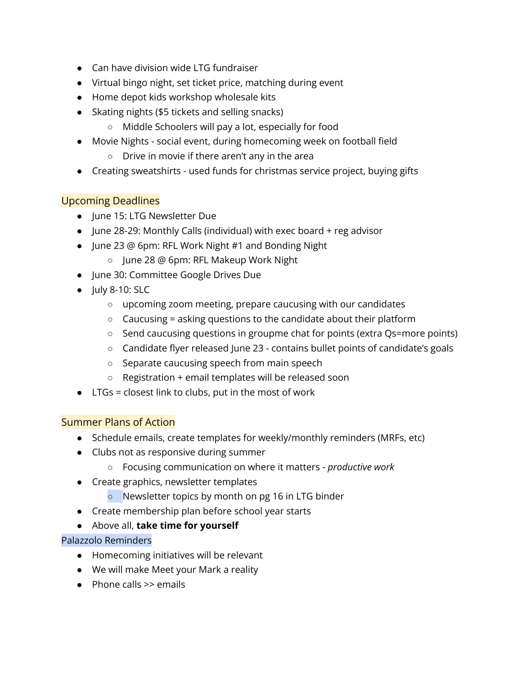- Can have division wide LTG fundraiser
- Virtual bingo night, set ticket price, matching during event
- Home depot kids workshop wholesale kits
- Skating nights (\$5 tickets and selling snacks)
	- Middle Schoolers will pay a lot, especially for food
- Movie Nights social event, during homecoming week on football field
	- Drive in movie if there aren't any in the area
- Creating sweatshirts used funds for christmas service project, buying gifts

# Upcoming Deadlines

- June 15: LTG Newsletter Due
- $\bullet$  June 28-29: Monthly Calls (individual) with exec board  $+$  reg advisor
- June 23 @ 6pm: RFL Work Night #1 and Bonding Night
	- June 28 @ 6pm: RFL Makeup Work Night
- June 30: Committee Google Drives Due
- $\bullet$  July 8-10: SLC
	- upcoming zoom meeting, prepare caucusing with our candidates
	- $\circ$  Caucusing = asking questions to the candidate about their platform
	- Send caucusing questions in groupme chat for points (extra Qs=more points)
	- Candidate flyer released June 23 contains bullet points of candidate's goals
	- Separate caucusing speech from main speech
	- Registration + email templates will be released soon
- LTGs = closest link to clubs, put in the most of work

# Summer Plans of Action

- Schedule emails, create templates for weekly/monthly reminders (MRFs, etc)
- Clubs not as responsive during summer
	- Focusing communication on where it matters *productive work*
- Create graphics, newsletter templates
	- Newsletter topics by month on pg 16 in LTG binder
- Create membership plan before school year starts
- Above all, **take time for yourself**

## Palazzolo Reminders

- Homecoming initiatives will be relevant
- We will make Meet your Mark a reality
- Phone calls >> emails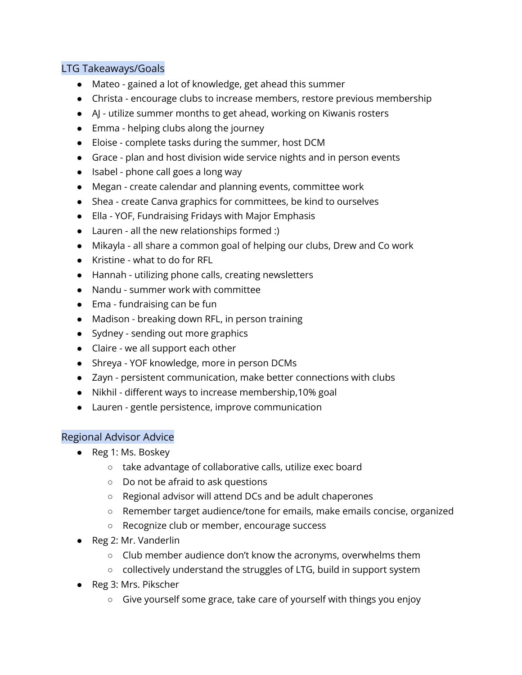## LTG Takeaways/Goals

- Mateo gained a lot of knowledge, get ahead this summer
- Christa encourage clubs to increase members, restore previous membership
- AJ utilize summer months to get ahead, working on Kiwanis rosters
- Emma helping clubs along the journey
- Eloise complete tasks during the summer, host DCM
- Grace plan and host division wide service nights and in person events
- Isabel phone call goes a long way
- Megan create calendar and planning events, committee work
- Shea create Canva graphics for committees, be kind to ourselves
- Ella YOF, Fundraising Fridays with Major Emphasis
- Lauren all the new relationships formed :)
- Mikayla all share a common goal of helping our clubs, Drew and Co work
- Kristine what to do for RFL
- Hannah utilizing phone calls, creating newsletters
- Nandu summer work with committee
- Ema fundraising can be fun
- Madison breaking down RFL, in person training
- Sydney sending out more graphics
- Claire we all support each other
- Shreya YOF knowledge, more in person DCMs
- Zayn persistent communication, make better connections with clubs
- Nikhil different ways to increase membership,10% goal
- Lauren gentle persistence, improve communication

## Regional Advisor Advice

- Reg 1: Ms. Boskey
	- take advantage of collaborative calls, utilize exec board
	- Do not be afraid to ask questions
	- Regional advisor will attend DCs and be adult chaperones
	- Remember target audience/tone for emails, make emails concise, organized
	- Recognize club or member, encourage success
- Reg 2: Mr. Vanderlin
	- Club member audience don't know the acronyms, overwhelms them
	- collectively understand the struggles of LTG, build in support system
- Reg 3: Mrs. Pikscher
	- Give yourself some grace, take care of yourself with things you enjoy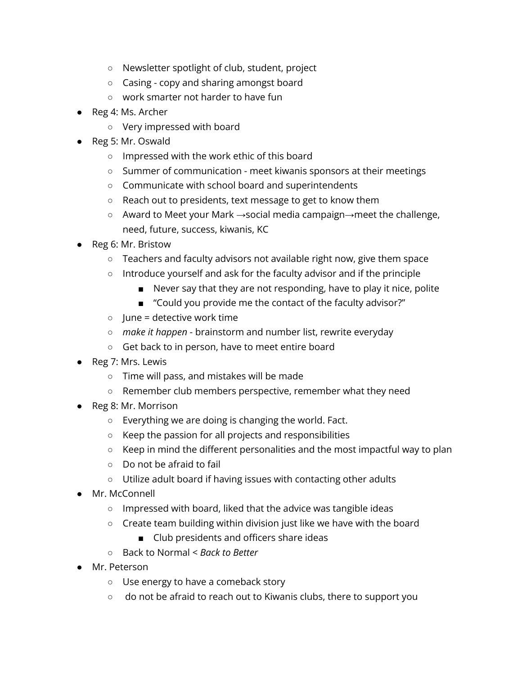- Newsletter spotlight of club, student, project
- Casing copy and sharing amongst board
- work smarter not harder to have fun
- Reg 4: Ms. Archer
	- Very impressed with board
- Reg 5: Mr. Oswald
	- Impressed with the work ethic of this board
	- Summer of communication meet kiwanis sponsors at their meetings
	- Communicate with school board and superintendents
	- Reach out to presidents, text message to get to know them
	- Award to Meet your Mark →social media campaign→meet the challenge, need, future, success, kiwanis, KC
- Reg 6: Mr. Bristow
	- Teachers and faculty advisors not available right now, give them space
	- Introduce yourself and ask for the faculty advisor and if the principle
		- Never say that they are not responding, have to play it nice, polite
		- "Could you provide me the contact of the faculty advisor?"
	- $\circ$  June = detective work time
	- *make it happen* brainstorm and number list, rewrite everyday
	- Get back to in person, have to meet entire board
- Reg 7: Mrs. Lewis
	- Time will pass, and mistakes will be made
	- Remember club members perspective, remember what they need
- Reg 8: Mr. Morrison
	- Everything we are doing is changing the world. Fact.
	- Keep the passion for all projects and responsibilities
	- Keep in mind the different personalities and the most impactful way to plan
	- Do not be afraid to fail
	- Utilize adult board if having issues with contacting other adults
- Mr. McConnell
	- Impressed with board, liked that the advice was tangible ideas
	- Create team building within division just like we have with the board
		- Club presidents and officers share ideas
	- Back to Normal < *Back to Better*
- Mr. Peterson
	- Use energy to have a comeback story
	- do not be afraid to reach out to Kiwanis clubs, there to support you